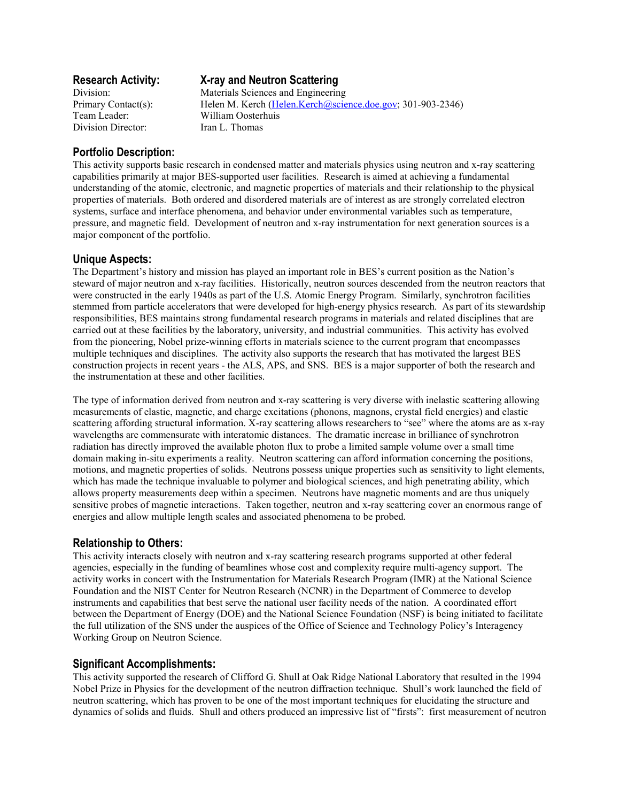Team Leader: William Oosterhuis Division Director: Iran L. Thomas

# **Research Activity: X-ray and Neutron Scattering**

Division: Materials Sciences and Engineering Primary Contact(s): Helen M. Kerch (Helen.Kerch@science.doe.gov; 301-903-2346)

## **Portfolio Description:**

This activity supports basic research in condensed matter and materials physics using neutron and x-ray scattering capabilities primarily at major BES-supported user facilities. Research is aimed at achieving a fundamental understanding of the atomic, electronic, and magnetic properties of materials and their relationship to the physical properties of materials. Both ordered and disordered materials are of interest as are strongly correlated electron systems, surface and interface phenomena, and behavior under environmental variables such as temperature, pressure, and magnetic field. Development of neutron and x-ray instrumentation for next generation sources is a major component of the portfolio.

## **Unique Aspects:**

The Department's history and mission has played an important role in BES's current position as the Nation's steward of major neutron and x-ray facilities. Historically, neutron sources descended from the neutron reactors that were constructed in the early 1940s as part of the U.S. Atomic Energy Program. Similarly, synchrotron facilities stemmed from particle accelerators that were developed for high-energy physics research. As part of its stewardship responsibilities, BES maintains strong fundamental research programs in materials and related disciplines that are carried out at these facilities by the laboratory, university, and industrial communities. This activity has evolved from the pioneering, Nobel prize-winning efforts in materials science to the current program that encompasses multiple techniques and disciplines. The activity also supports the research that has motivated the largest BES construction projects in recent years - the ALS, APS, and SNS. BES is a major supporter of both the research and the instrumentation at these and other facilities.

The type of information derived from neutron and x-ray scattering is very diverse with inelastic scattering allowing measurements of elastic, magnetic, and charge excitations (phonons, magnons, crystal field energies) and elastic scattering affording structural information. X-ray scattering allows researchers to "see" where the atoms are as x-ray wavelengths are commensurate with interatomic distances. The dramatic increase in brilliance of synchrotron radiation has directly improved the available photon flux to probe a limited sample volume over a small time domain making in-situ experiments a reality. Neutron scattering can afford information concerning the positions, motions, and magnetic properties of solids. Neutrons possess unique properties such as sensitivity to light elements, which has made the technique invaluable to polymer and biological sciences, and high penetrating ability, which allows property measurements deep within a specimen. Neutrons have magnetic moments and are thus uniquely sensitive probes of magnetic interactions. Taken together, neutron and x-ray scattering cover an enormous range of energies and allow multiple length scales and associated phenomena to be probed.

# **Relationship to Others:**

This activity interacts closely with neutron and x-ray scattering research programs supported at other federal agencies, especially in the funding of beamlines whose cost and complexity require multi-agency support. The activity works in concert with the Instrumentation for Materials Research Program (IMR) at the National Science Foundation and the NIST Center for Neutron Research (NCNR) in the Department of Commerce to develop instruments and capabilities that best serve the national user facility needs of the nation. A coordinated effort between the Department of Energy (DOE) and the National Science Foundation (NSF) is being initiated to facilitate the full utilization of the SNS under the auspices of the Office of Science and Technology Policy's Interagency Working Group on Neutron Science.

# **Significant Accomplishments:**

This activity supported the research of Clifford G. Shull at Oak Ridge National Laboratory that resulted in the 1994 Nobel Prize in Physics for the development of the neutron diffraction technique. Shull's work launched the field of neutron scattering, which has proven to be one of the most important techniques for elucidating the structure and dynamics of solids and fluids. Shull and others produced an impressive list of "firsts": first measurement of neutron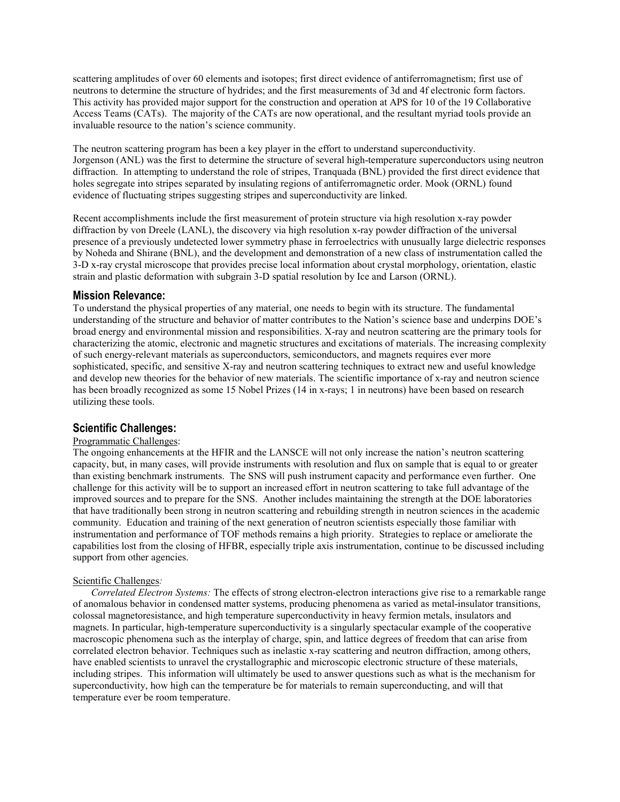scattering amplitudes of over 60 elements and isotopes; first direct evidence of antiferromagnetism; first use of neutrons to determine the structure of hydrides; and the first measurements of 3d and 4f electronic form factors. This activity has provided major support for the construction and operation at APS for 10 of the 19 Collaborative Access Teams (CATs). The majority of the CATs are now operational, and the resultant myriad tools provide an invaluable resource to the nation's science community.

The neutron scattering program has been a key player in the effort to understand superconductivity. Jorgenson (ANL) was the first to determine the structure of several high-temperature superconductors using neutron diffraction. In attempting to understand the role of stripes, Tranquada (BNL) provided the first direct evidence that holes segregate into stripes separated by insulating regions of antiferromagnetic order. Mook (ORNL) found evidence of fluctuating stripes suggesting stripes and superconductivity are linked.

Recent accomplishments include the first measurement of protein structure via high resolution x-ray powder diffraction by von Dreele (LANL), the discovery via high resolution x-ray powder diffraction of the universal presence of a previously undetected lower symmetry phase in ferroelectrics with unusually large dielectric responses by Noheda and Shirane (BNL), and the development and demonstration of a new class of instrumentation called the 3-D x-ray crystal microscope that provides precise local information about crystal morphology, orientation, elastic strain and plastic deformation with subgrain 3-D spatial resolution by Ice and Larson (ORNL).

#### **Mission Relevance:**

To understand the physical properties of any material, one needs to begin with its structure. The fundamental understanding of the structure and behavior of matter contributes to the Nation's science base and underpins DOE's broad energy and environmental mission and responsibilities. X-ray and neutron scattering are the primary tools for characterizing the atomic, electronic and magnetic structures and excitations of materials. The increasing complexity of such energy-relevant materials as superconductors, semiconductors, and magnets requires ever more sophisticated, specific, and sensitive X-ray and neutron scattering techniques to extract new and useful knowledge and develop new theories for the behavior of new materials. The scientific importance of x-ray and neutron science has been broadly recognized as some 15 Nobel Prizes (14 in x-rays; 1 in neutrons) have been based on research utilizing these tools.

## **Scientific Challenges:**

#### Programmatic Challenges:

The ongoing enhancements at the HFIR and the LANSCE will not only increase the nation's neutron scattering capacity, but, in many cases, will provide instruments with resolution and flux on sample that is equal to or greater than existing benchmark instruments. The SNS will push instrument capacity and performance even further. One challenge for this activity will be to support an increased effort in neutron scattering to take full advantage of the improved sources and to prepare for the SNS. Another includes maintaining the strength at the DOE laboratories that have traditionally been strong in neutron scattering and rebuilding strength in neutron sciences in the academic community. Education and training of the next generation of neutron scientists especially those familiar with instrumentation and performance of TOF methods remains a high priority. Strategies to replace or ameliorate the capabilities lost from the closing of HFBR, especially triple axis instrumentation, continue to be discussed including support from other agencies.

#### Scientific Challenges*:*

*Correlated Electron Systems:* The effects of strong electron-electron interactions give rise to a remarkable range of anomalous behavior in condensed matter systems, producing phenomena as varied as metal-insulator transitions, colossal magnetoresistance, and high temperature superconductivity in heavy fermion metals, insulators and magnets. In particular, high-temperature superconductivity is a singularly spectacular example of the cooperative macroscopic phenomena such as the interplay of charge, spin, and lattice degrees of freedom that can arise from correlated electron behavior. Techniques such as inelastic x-ray scattering and neutron diffraction, among others, have enabled scientists to unravel the crystallographic and microscopic electronic structure of these materials, including stripes. This information will ultimately be used to answer questions such as what is the mechanism for superconductivity, how high can the temperature be for materials to remain superconducting, and will that temperature ever be room temperature.